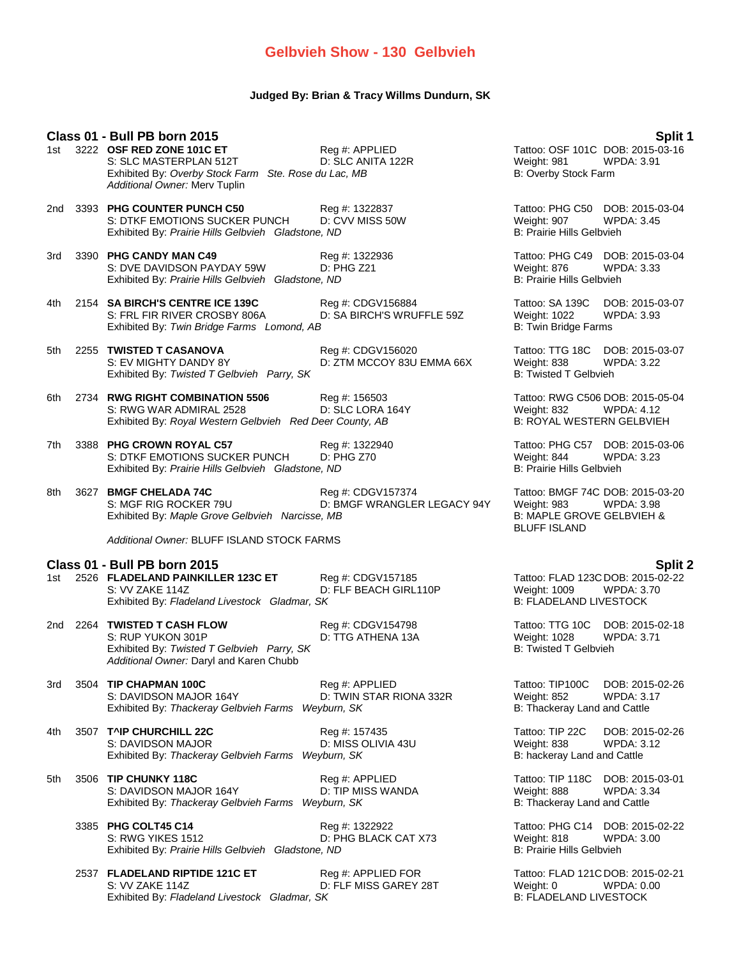# **Gelbvieh Show - 130 Gelbvieh**

### **Judged By: Brian & Tracy Willms Dundurn, SK**

### **Class 01 - Bull PB born 2015 Split 1**

| 1st | 3222 OSF RED ZONE 101C ET                            | Reg #: APPLIED    |
|-----|------------------------------------------------------|-------------------|
|     | S: SLC MASTERPLAN 512T                               | D: SLC ANITA 122F |
|     | Exhibited By: Overby Stock Farm Ste. Rose du Lac, MB |                   |
|     | Additional Owner: Merv Tuplin                        |                   |

- 2nd 3393 **PHG COUNTER PUNCH C50** Reg #: 1322837 Tattoo: PHG C50 DOB: 2015-03-04<br>S: DTKF EMOTIONS SUCKER PUNCH D: CVV MISS 50W Weight: 907 WPDA: 3.45 S: DTKF EMOTIONS SUCKER PUNCH D: CVV MISS 50W Weight: 907 WPI Exhibited By: Prairie Hills Gelbvieh Gladstone, ND Exhibited By: Prairie Hills Gelbvieh Gladstone, ND
- 3rd 3390 **PHG CANDY MAN C49** Reg #: 1322936 Tattoo: PHG C49 DOB: 2015-03-04 S: DVE DAVIDSON PAYDAY 59W D: PHG Z21 Weight: 876 WPDA: 3.33<br>
Exhibited By: Prairie Hills Gelbvieh Gladstone, ND<br>
B: Prairie Hills Gelbvieh Exhibited By: Prairie Hills Gelbvieh Gladstone, ND
- 4th 2154 **SA BIRCH'S CENTRE ICE 139C** Reg #: CDGV156884 Tattoo: SA 139C DOB: 2015-03-07 S: FRL FIR RIVER CROSBY 806A D: SA BIRCH'S WRUFFLE 59Z Weight: 1022 Exhibited By: *Twin Bridge Farms Lomond, AB* B: Twin Bridge Farms **B:** Twin Bridge Farms
- 5th 2255 **TWISTED T CASANOVA** Reg #: CDGV156020 Tattoo: TTG 18C DOB: 2015-03-07 S: EV MIGHTY DANDY 8Y D: ZTM MCCOY 83U EMMA 66X Weight: 838 WPDA: 3.22 Exhibited By: Twisted T Gelbvieh Parry, SK B: Twisted T Gelbvieh Parry, SK
- 6th 2734 **RWG RIGHT COMBINATION 5506** Reg #: 156503 Tattoo: RWG C506 DOB: 2015-05-04 S: RWG WAR ADMIRAL 2528 D: SLC LORA 164Y Weight: 832 WPDA: 4.12 Exhibited By: *Royal Western Gelbvieh Red Deer County, AB* B: ROYAL WESTERN GELBVIEH
- 7th 3388 **PHG CROWN ROYAL C57** Reg #: 1322940 Tattoo: PHG C57 DOB: 2015-03-06 S: DTKF EMOTIONS SUCKER PUNCH D: PHG Z70 Weight: 844 WPDA: 3.23 Exhibited By: *Prairie Hills Gelbvieh Gladstone, ND* B: Prairie Hills Gelbvieh
- 8th 3627 **BMGF CHELADA 74C** Reg #: CDGV157374 Tattoo: BMGF 74C DOB: 2015-03-20<br>S: MGF RIG ROCKER 79U D: BMGF WRANGLER LEGACY 94Y Weight: 983 WPDA: 3.98 D: BMGF WRANGLER LEGACY 94Y Weight: 983 WPDA: 3.98<br>B: MAPLE GROVE GELBVIEH & Exhibited By: Maple Grove Gelbvieh Narcisse, MB

*Additional Owner:* BLUFF ISLAND STOCK FARMS

- **Class 01 - Bull PB born 2015 Split 2** 1st 2526 **FLADELAND PAINKILLER 123C ET** S: VV ZAKE 114Z **D: FLF BEACH GIRL110P** Weight: 1009 WPDA: 3.70<br>Exhibited By: *Fladeland Livestock Gladmar. SK* B: FLADELAND LIVESTOCK Exhibited By: Fladeland Livestock Gladmar, SK
- 2nd 2264 **TWISTED T CASH FLOW** Reg #: CDGV154798 Tattoo: TTG 10C DOB: 2015-02-18<br>S: RUP YUKON 301P D: TTG ATHENA 13A Weight: 1028 WPDA: 3.71 Exhibited By: *Twisted T Gelbvieh Parry, SK Additional Owner:* Daryl and Karen Chubb
- 3rd 3504 **TIP CHAPMAN 100C** Reg #: APPLIED Tattoo: TIP100C DOB: 2015-02-26 S: DAVIDSON MAJOR 164Y D: TWIN STAR RIONA 332R Weight: 852 WPDA: 3.17 Exhibited By: Thackeray Gelbvieh Farms Weyburn, SK B: Thackeray Land and Cattle
- 4th 3507 **T^IP CHURCHILL 22C** Reg #: 157435 Tattoo: TIP 22C DOB: 2015-02-26 S: DAVIDSON MAJOR D: MISS OLIVIA 43U Weight: 838 WPDA: 3.12 Exhibited By: Thackeray Gelbvieh Farms Weyburn, SK B: hackeray Land and Cattle
- 5th 3506 **TIP CHUNKY 118C** Reg #: APPLIED Tattoo: TIP 118C DOB: 2015-03-01 S: DAVIDSON MAJOR 164Y D: TIP MISS WANDA Weight: 888 WPDA: 3.34<br>Exhibited By: Thackeray Gelbvieh Farms Weyburn, SK B: Thackeray Land and Cattle Exhibited By: Thackeray Gelbvieh Farms Weyburn, SK
	- 3385 **PHG COLT45 C14** Reg #: 1322922 **Reg 2015-02-22**<br>S: RWG YIKES 1512 **D: PHG BLACK CAT X73** Weight: 818 WPDA: 3.00 S: RWG YIKES 1512 **D: PHG BLACK CAT X73** Weight: 818 WPI Bushipped By: *Prairie Hills Gelbyieh Gladstone. ND*<br>Exhibited By: *Prairie Hills Gelbyieh Gladstone. ND* B: Prairie Hills Gelbyieh Exhibited By: Prairie Hills Gelbyieh Gladstone, ND
	- 2537 **FLADELAND RIPTIDE 121C ET** Reg #: APPLIED FOR Tattoo: FLAD 121C DOB: 2015-02-21<br>S: VV ZAKE 114Z D: FLF MISS GAREY 28T Weight: 0 WPDA: 0.00 Exhibited By: Fladeland Livestock Gladmar, SK

Tattoo: OSF 101C DOB: 2015-03-16 R: SLCC MASTER MASTER MASTER MASTER MASTER MASTER MASTER MASTER MASTER MASTER MASTER MASTER MASTER MASTER MAST B: Overby Stock Farm

BLUFF ISLAND

D: TTG ATHENA 13A Weight: 1028 W<br>B: Twisted T Gelbvieh

S: VV ZAKE 114Z D: FLF MISS GAREY 28T Weight: 0 WPDA: 0.00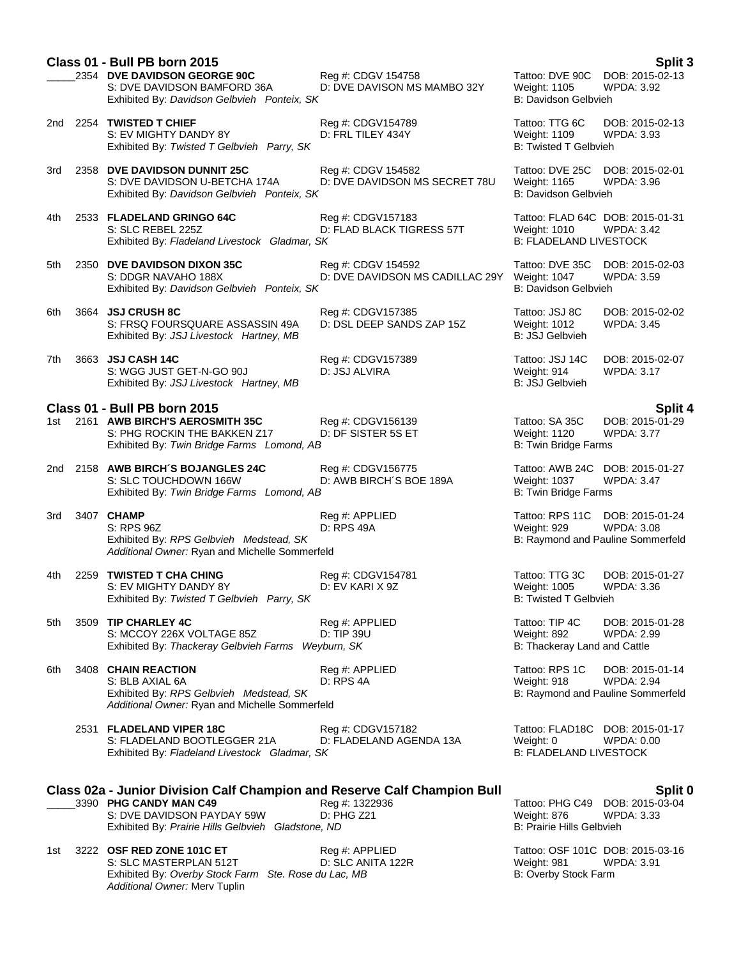|     | Class 01 - Bull PB born 2015<br>2354 DVE DAVIDSON GEORGE 90C<br>S: DVE DAVIDSON BAMFORD 36A<br>Exhibited By: Davidson Gelbvieh Ponteix, SK                                                    | Reg #: CDGV 154758<br>D: DVE DAVISON MS MAMBO 32Y     | Tattoo: DVE 90C<br>Weight: 1105<br>B: Davidson Gelbvieh                           | Split 3<br>DOB: 2015-02-13<br><b>WPDA: 3.92</b>                           |
|-----|-----------------------------------------------------------------------------------------------------------------------------------------------------------------------------------------------|-------------------------------------------------------|-----------------------------------------------------------------------------------|---------------------------------------------------------------------------|
|     | 2nd 2254 TWISTED T CHIEF<br>S: EV MIGHTY DANDY 8Y<br>Exhibited By: Twisted T Gelbvieh Parry, SK                                                                                               | Reg #: CDGV154789<br>D: FRL TILEY 434Y                | Tattoo: TTG 6C<br><b>Weight: 1109</b><br><b>B: Twisted T Gelbvieh</b>             | DOB: 2015-02-13<br>WPDA: 3.93                                             |
| 3rd | 2358 DVE DAVIDSON DUNNIT 25C<br>S: DVE DAVIDSON U-BETCHA 174A<br>Exhibited By: Davidson Gelbvieh Ponteix, SK                                                                                  | Reg #: CDGV 154582<br>D: DVE DAVIDSON MS SECRET 78U   | Tattoo: DVE 25C<br>Weight: 1165<br>B: Davidson Gelbvieh                           | DOB: 2015-02-01<br>WPDA: 3.96                                             |
| 4th | 2533 FLADELAND GRINGO 64C<br>S: SLC REBEL 225Z<br>Exhibited By: Fladeland Livestock Gladmar, SK                                                                                               | Reg #: CDGV157183<br>D: FLAD BLACK TIGRESS 57T        | Tattoo: FLAD 64C DOB: 2015-01-31<br>Weight: 1010<br><b>B: FLADELAND LIVESTOCK</b> | <b>WPDA: 3.42</b>                                                         |
| 5th | 2350 DVE DAVIDSON DIXON 35C<br>S: DDGR NAVAHO 188X<br>Exhibited By: Davidson Gelbvieh Ponteix, SK                                                                                             | Reg #: CDGV 154592<br>D: DVE DAVIDSON MS CADILLAC 29Y | Tattoo: DVE 35C<br>Weight: 1047<br>B: Davidson Gelbvieh                           | DOB: 2015-02-03<br>WPDA: 3.59                                             |
| 6th | 3664 JSJ CRUSH 8C<br>S: FRSQ FOURSQUARE ASSASSIN 49A<br>Exhibited By: JSJ Livestock Hartney, MB                                                                                               | Reg #: CDGV157385<br>D: DSL DEEP SANDS ZAP 15Z        | Tattoo: JSJ 8C<br>Weight: 1012<br><b>B: JSJ Gelbvieh</b>                          | DOB: 2015-02-02<br>WPDA: 3.45                                             |
| 7th | 3663 JSJ CASH 14C<br>S: WGG JUST GET-N-GO 90J<br>Exhibited By: JSJ Livestock Hartney, MB                                                                                                      | Reg #: CDGV157389<br>D: JSJ ALVIRA                    | Tattoo: JSJ 14C<br>Weight: 914<br><b>B: JSJ Gelbvieh</b>                          | DOB: 2015-02-07<br><b>WPDA: 3.17</b>                                      |
|     | Class 01 - Bull PB born 2015                                                                                                                                                                  |                                                       |                                                                                   | <b>Split 4</b>                                                            |
| 1st | 2161 AWB BIRCH'S AEROSMITH 35C<br>S: PHG ROCKIN THE BAKKEN Z17<br>Exhibited By: Twin Bridge Farms Lomond, AB                                                                                  | Reg #: CDGV156139<br>D: DF SISTER 5S ET               | Tattoo: SA 35C<br>Weight: 1120<br><b>B: Twin Bridge Farms</b>                     | DOB: 2015-01-29<br>WPDA: 3.77                                             |
| 2nd | 2158 AWB BIRCH'S BOJANGLES 24C<br>S: SLC TOUCHDOWN 166W<br>Exhibited By: Twin Bridge Farms Lomond, AB                                                                                         | Reg #: CDGV156775<br>D: AWB BIRCH'S BOE 189A          | Tattoo: AWB 24C<br>Weight: 1037<br><b>B: Twin Bridge Farms</b>                    | DOB: 2015-01-27<br>WPDA: 3.47                                             |
| 3rd | 3407 CHAMP<br>S: RPS 96Z<br>Exhibited By: RPS Gelbvieh Medstead, SK<br>Additional Owner: Ryan and Michelle Sommerfeld                                                                         | Reg #: APPLIED<br>D: RPS 49A                          | Tattoo: RPS 11C<br>Weight: 929                                                    | DOB: 2015-01-24<br>WPDA: 3.08<br>B: Raymond and Pauline Sommerfeld        |
| 4th | 2259 TWISTED T CHA CHING<br>S: EV MIGHTY DANDY 8Y<br>Exhibited By: Twisted T Gelbvieh Parry, SK                                                                                               | Reg #: CDGV154781<br>D: EV KARI X 9Z                  | Tattoo: TTG 3C<br>Weight: 1005<br><b>B: Twisted T Gelbvieh</b>                    | DOB: 2015-01-27<br><b>WPDA: 3.36</b>                                      |
| 5th | 3509 TIP CHARLEY 4C<br>S: MCCOY 226X VOLTAGE 85Z<br>Exhibited By: Thackeray Gelbvieh Farms Weyburn, SK                                                                                        | Reg #: APPLIED<br>D: TIP 39U                          | Tattoo: TIP 4C<br>Weight: 892<br>B: Thackeray Land and Cattle                     | DOB: 2015-01-28<br><b>WPDA: 2.99</b>                                      |
| 6th | 3408 CHAIN REACTION<br>S: BLB AXIAL 6A<br>Exhibited By: RPS Gelbvieh Medstead, SK<br>Additional Owner: Ryan and Michelle Sommerfeld                                                           | Reg #: APPLIED<br>D: RPS 4A                           | Tattoo: RPS 1C<br>Weight: 918                                                     | DOB: 2015-01-14<br><b>WPDA: 2.94</b><br>B: Raymond and Pauline Sommerfeld |
|     | 2531 FLADELAND VIPER 18C<br>S: FLADELAND BOOTLEGGER 21A<br>Exhibited By: Fladeland Livestock Gladmar, SK                                                                                      | Reg #: CDGV157182<br>D: FLADELAND AGENDA 13A          | Weight: 0<br><b>B: FLADELAND LIVESTOCK</b>                                        | Tattoo: FLAD18C DOB: 2015-01-17<br>WPDA: 0.00                             |
|     |                                                                                                                                                                                               |                                                       |                                                                                   |                                                                           |
|     | <b>Class 02a - Junior Division Calf Champion and Reserve Calf Champion Bull</b><br>3390 PHG CANDY MAN C49<br>S: DVE DAVIDSON PAYDAY 59W<br>Exhibited By: Prairie Hills Gelbvieh Gladstone, ND | Reg #: 1322936<br>D: PHG Z21                          | Tattoo: PHG C49<br>Weight: 876<br>B: Prairie Hills Gelbvieh                       | Split 0<br>DOB: 2015-03-04<br><b>WPDA: 3.33</b>                           |
| 1st | 3222 OSF RED ZONE 101C ET<br>S: SLC MASTERPLAN 512T<br>Exhibited By: Overby Stock Farm Ste. Rose du Lac, MB<br>Additional Owner: Merv Tuplin                                                  | Reg #: APPLIED<br>D: SLC ANITA 122R                   | Weight: 981<br>B: Overby Stock Farm                                               | Tattoo: OSF 101C DOB: 2015-03-16<br><b>WPDA: 3.91</b>                     |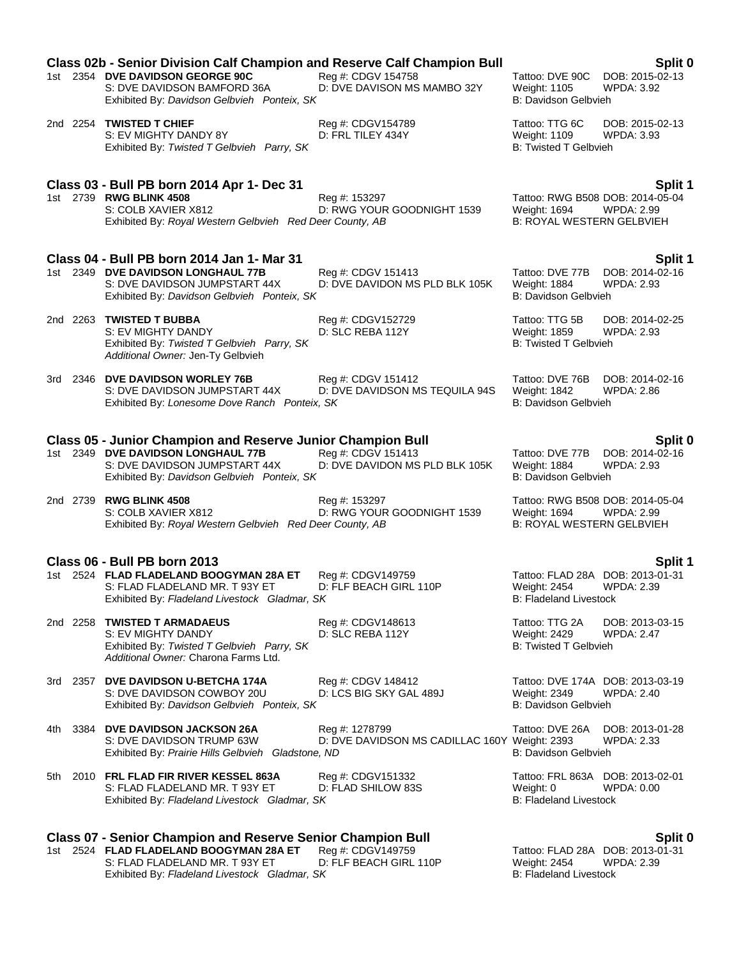|      | <b>Class 02b - Senior Division Calf Champion and Reserve Calf Champion Bull</b>                                                                                                          |                                                                 |                                                                                      | Split 0                                                          |
|------|------------------------------------------------------------------------------------------------------------------------------------------------------------------------------------------|-----------------------------------------------------------------|--------------------------------------------------------------------------------------|------------------------------------------------------------------|
|      | 1st 2354 DVE DAVIDSON GEORGE 90C<br>S: DVE DAVIDSON BAMFORD 36A<br>Exhibited By: Davidson Gelbvieh Ponteix, SK                                                                           | Reg #: CDGV 154758<br>D: DVE DAVISON MS MAMBO 32Y               | Tattoo: DVE 90C<br><b>Weight: 1105</b><br><b>B: Davidson Gelbvieh</b>                | DOB: 2015-02-13<br>WPDA: 3.92                                    |
|      | 2nd 2254 TWISTED T CHIEF<br>S: EV MIGHTY DANDY 8Y<br>Exhibited By: Twisted T Gelbvieh Parry, SK                                                                                          | Reg #: CDGV154789<br>D: FRL TILEY 434Y                          | Tattoo: TTG 6C<br><b>Weight: 1109</b><br><b>B: Twisted T Gelbvieh</b>                | DOB: 2015-02-13<br><b>WPDA: 3.93</b>                             |
|      | Class 03 - Bull PB born 2014 Apr 1- Dec 31<br>1st 2739 RWG BLINK 4508<br>S: COLB XAVIER X812<br>Exhibited By: Royal Western Gelbvieh Red Deer County, AB                                 | Reg #: 153297<br>D: RWG YOUR GOODNIGHT 1539                     | Weight: 1694<br><b>B: ROYAL WESTERN GELBVIEH</b>                                     | Split 1<br>Tattoo: RWG B508 DOB: 2014-05-04<br>WPDA: 2.99        |
|      | Class 04 - Bull PB born 2014 Jan 1- Mar 31<br>1st 2349 DVE DAVIDSON LONGHAUL 77B<br>S: DVE DAVIDSON JUMPSTART 44X<br>Exhibited By: Davidson Gelbvieh Ponteix, SK                         | Reg #: CDGV 151413<br>D: DVE DAVIDON MS PLD BLK 105K            | Tattoo: DVE 77B<br><b>Weight: 1884</b><br>B: Davidson Gelbvieh                       | Split 1<br>DOB: 2014-02-16<br>WPDA: 2.93                         |
|      | 2nd 2263 TWISTED T BUBBA<br>S: EV MIGHTY DANDY<br>Exhibited By: Twisted T Gelbvieh Parry, SK<br>Additional Owner: Jen-Ty Gelbvieh                                                        | Reg #: CDGV152729<br>D: SLC REBA 112Y                           | Tattoo: TTG 5B<br>Weight: 1859<br><b>B: Twisted T Gelbvieh</b>                       | DOB: 2014-02-25<br><b>WPDA: 2.93</b>                             |
|      | 3rd 2346 DVE DAVIDSON WORLEY 76B<br>S: DVE DAVIDSON JUMPSTART 44X<br>Exhibited By: Lonesome Dove Ranch Ponteix, SK                                                                       | Reg #: CDGV 151412<br>D: DVE DAVIDSON MS TEQUILA 94S            | Tattoo: DVE 76B<br><b>Weight: 1842</b><br>B: Davidson Gelbvieh                       | DOB: 2014-02-16<br>WPDA: 2.86                                    |
|      |                                                                                                                                                                                          |                                                                 |                                                                                      |                                                                  |
|      | <b>Class 05 - Junior Champion and Reserve Junior Champion Bull</b><br>1st 2349 DVE DAVIDSON LONGHAUL 77B<br>S: DVE DAVIDSON JUMPSTART 44X<br>Exhibited By: Davidson Gelbvieh Ponteix, SK | Reg #: CDGV 151413<br>D: DVE DAVIDON MS PLD BLK 105K            | <b>Weight: 1884</b><br>B: Davidson Gelbvieh                                          | Split 0<br>Tattoo: DVE 77B DOB: 2014-02-16<br><b>WPDA: 2.93</b>  |
|      | 2nd 2739 RWG BLINK 4508<br>S: COLB XAVIER X812<br>Exhibited By: Royal Western Gelbvieh Red Deer County, AB                                                                               | Reg #: 153297<br>D: RWG YOUR GOODNIGHT 1539                     | Tattoo: RWG B508 DOB: 2014-05-04<br>Weight: 1694<br><b>B: ROYAL WESTERN GELBVIEH</b> | WPDA: 2.99                                                       |
|      |                                                                                                                                                                                          |                                                                 |                                                                                      |                                                                  |
|      | Class 06 - Bull PB born 2013<br>1st 2524 FLAD FLADELAND BOOGYMAN 28A ET<br>S: FLAD FLADELAND MR. T 93Y ET<br>Exhibited By: Fladeland Livestock Gladmar, SK                               | Reg #: CDGV149759<br>D: FLF BEACH GIRL 110P                     | Weight: 2454<br><b>B: Fladeland Livestock</b>                                        | Split 1<br>Tattoo: FLAD 28A DOB: 2013-01-31<br><b>WPDA: 2.39</b> |
|      | 2nd 2258 TWISTED T ARMADAEUS<br>S: EV MIGHTY DANDY<br>Exhibited By: Twisted T Gelbvieh Parry, SK<br>Additional Owner: Charona Farms Ltd.                                                 | Reg #: CDGV148613<br>D: SLC REBA 112Y                           | Tattoo: TTG 2A<br>Weight: 2429<br><b>B: Twisted T Gelbvieh</b>                       | DOB: 2013-03-15<br><b>WPDA: 2.47</b>                             |
|      | 3rd 2357 DVE DAVIDSON U-BETCHA 174A<br>S: DVE DAVIDSON COWBOY 20U<br>Exhibited By: Davidson Gelbvieh Ponteix, SK                                                                         | Reg #: CDGV 148412<br>D: LCS BIG SKY GAL 489J                   | Tattoo: DVE 174A DOB: 2013-03-19<br>Weight: 2349<br><b>B: Davidson Gelbvieh</b>      | <b>WPDA: 2.40</b>                                                |
| 4th. | 3384 DVE DAVIDSON JACKSON 26A<br>S: DVE DAVIDSON TRUMP 63W<br>Exhibited By: Prairie Hills Gelbvieh Gladstone, ND                                                                         | Reg #: 1278799<br>D: DVE DAVIDSON MS CADILLAC 160Y Weight: 2393 | Tattoo: DVE 26A<br>B: Davidson Gelbvieh                                              | DOB: 2013-01-28<br><b>WPDA: 2.33</b>                             |
| 5th  | 2010 FRL FLAD FIR RIVER KESSEL 863A<br>S: FLAD FLADELAND MR. T 93Y ET<br>Exhibited By: Fladeland Livestock Gladmar, SK                                                                   | Reg #: CDGV151332<br>D: FLAD SHILOW 83S                         | Tattoo: FRL 863A DOB: 2013-02-01<br>Weight: 0<br><b>B: Fladeland Livestock</b>       | WPDA: 0.00                                                       |
|      |                                                                                                                                                                                          |                                                                 |                                                                                      |                                                                  |
|      | <b>Class 07 - Senior Champion and Reserve Senior Champion Bull</b><br>1st 2524 FLAD FLADELAND BOOGYMAN 28A ET<br>S: FLAD FLADELAND MR. T 93Y ET                                          | Reg #: CDGV149759<br>D: FLF BEACH GIRL 110P                     | Tattoo: FLAD 28A DOB: 2013-01-31<br>Weight: 2454                                     | Split 0<br>WPDA: 2.39                                            |

Exhibited By: *Fladeland Livestock Gladmar, SK* B: Fladeland Livestock B: Fladeland Livestock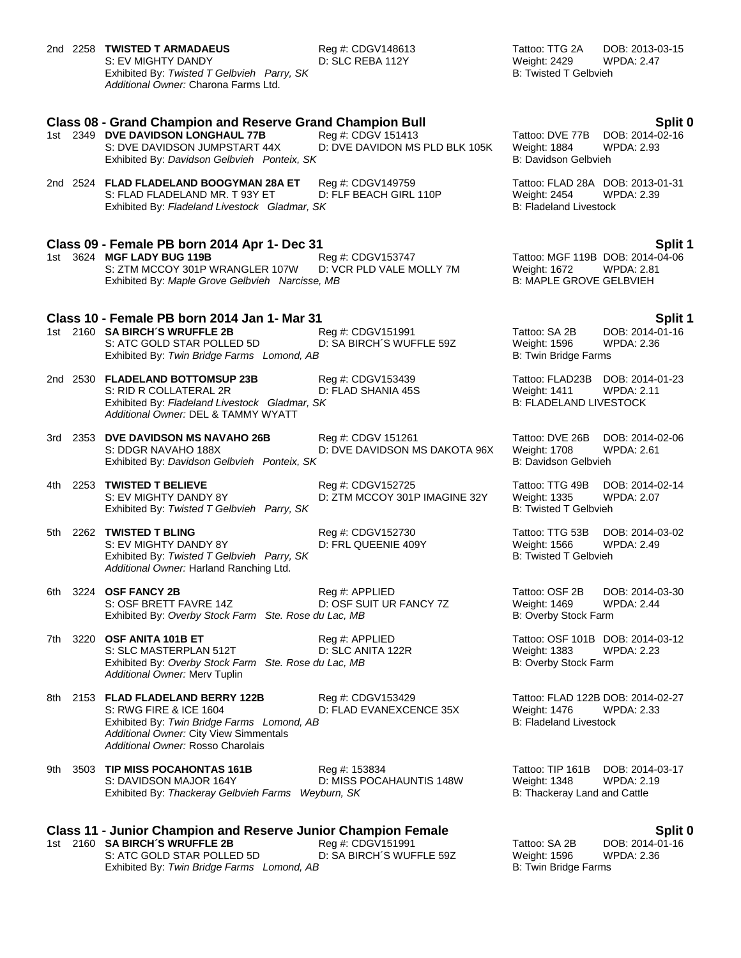|     |          | 2nd 2258 TWISTED T ARMADAEUS<br>S: EV MIGHTY DANDY<br>Exhibited By: Twisted T Gelbvieh Parry, SK<br>Additional Owner: Charona Farms Ltd.                                               | Reg #: CDGV148613<br>D: SLC REBA 112Y                | Tattoo: TTG 2A<br>Weight: 2429<br><b>B: Twisted T Gelbvieh</b>         | DOB: 2013-03-15<br><b>WPDA: 2.47</b>                             |
|-----|----------|----------------------------------------------------------------------------------------------------------------------------------------------------------------------------------------|------------------------------------------------------|------------------------------------------------------------------------|------------------------------------------------------------------|
|     |          | <b>Class 08 - Grand Champion and Reserve Grand Champion Bull</b><br>1st 2349 DVE DAVIDSON LONGHAUL 77B<br>S: DVE DAVIDSON JUMPSTART 44X<br>Exhibited By: Davidson Gelbvieh Ponteix, SK | Reg #: CDGV 151413<br>D: DVE DAVIDON MS PLD BLK 105K | Tattoo: DVE 77B<br>Weight: 1884<br>B: Davidson Gelbvieh                | Split 0<br>DOB: 2014-02-16<br><b>WPDA: 2.93</b>                  |
|     |          | 2nd 2524 FLAD FLADELAND BOOGYMAN 28A ET<br>S: FLAD FLADELAND MR. T 93Y ET<br>Exhibited By: Fladeland Livestock Gladmar, SK                                                             | Reg #: CDGV149759<br>D: FLF BEACH GIRL 110P          | <b>Weight: 2454</b><br><b>B: Fladeland Livestock</b>                   | Tattoo: FLAD 28A DOB: 2013-01-31<br><b>WPDA: 2.39</b>            |
|     |          | Class 09 - Female PB born 2014 Apr 1- Dec 31<br>1st 3624 MGF LADY BUG 119B<br>S: ZTM MCCOY 301P WRANGLER 107W<br>Exhibited By: Maple Grove Gelbvieh Narcisse, MB                       | Reg #: CDGV153747<br>D: VCR PLD VALE MOLLY 7M        | Weight: 1672<br><b>B: MAPLE GROVE GELBVIEH</b>                         | Split 1<br>Tattoo: MGF 119B DOB: 2014-04-06<br><b>WPDA: 2.81</b> |
|     |          | Class 10 - Female PB born 2014 Jan 1- Mar 31<br>1st 2160 SA BIRCH'S WRUFFLE 2B<br>S: ATC GOLD STAR POLLED 5D<br>Exhibited By: Twin Bridge Farms Lomond, AB                             | Reg #: CDGV151991<br>D: SA BIRCH'S WUFFLE 59Z        | Tattoo: SA 2B<br>Weight: 1596<br>B: Twin Bridge Farms                  | Split 1<br>DOB: 2014-01-16<br><b>WPDA: 2.36</b>                  |
|     |          | 2nd 2530 FLADELAND BOTTOMSUP 23B<br>S: RID R COLLATERAL 2R<br>Exhibited By: Fladeland Livestock Gladmar, SK<br>Additional Owner: DEL & TAMMY WYATT                                     | Reg #: CDGV153439<br>D: FLAD SHANIA 45S              | <b>Weight: 1411</b><br><b>B: FLADELAND LIVESTOCK</b>                   | Tattoo: FLAD23B DOB: 2014-01-23<br><b>WPDA: 2.11</b>             |
|     |          | 3rd 2353 DVE DAVIDSON MS NAVAHO 26B<br>S: DDGR NAVAHO 188X<br>Exhibited By: Davidson Gelbvieh Ponteix, SK                                                                              | Reg #: CDGV 151261<br>D: DVE DAVIDSON MS DAKOTA 96X  | Tattoo: DVE 26B<br><b>Weight: 1708</b><br>B: Davidson Gelbvieh         | DOB: 2014-02-06<br><b>WPDA: 2.61</b>                             |
|     | 4th 2253 | <b>TWISTED T BELIEVE</b><br>S: EV MIGHTY DANDY 8Y<br>Exhibited By: Twisted T Gelbvieh Parry, SK                                                                                        | Reg #: CDGV152725<br>D: ZTM MCCOY 301P IMAGINE 32Y   | Tattoo: TTG 49B<br><b>Weight: 1335</b><br><b>B: Twisted T Gelbvieh</b> | DOB: 2014-02-14<br>WPDA: 2.07                                    |
|     |          | 5th 2262 TWISTED T BLING<br>S: EV MIGHTY DANDY 8Y<br>Exhibited By: Twisted T Gelbvieh Parry, SK<br>Additional Owner: Harland Ranching Ltd.                                             | Reg #: CDGV152730<br>D: FRL QUEENIE 409Y             | Tattoo: TTG 53B<br>Weight: 1566<br><b>B: Twisted T Gelbvieh</b>        | DOB: 2014-03-02<br><b>WPDA: 2.49</b>                             |
|     | 6th 3224 | <b>OSF FANCY 2B</b><br>S: OSF BRETT FAVRE 14Z<br>Exhibited By: Overby Stock Farm Ste. Rose du Lac, MB                                                                                  | Reg #: APPLIED<br>D: OSF SUIT UR FANCY 7Z            | Tattoo: OSF 2B<br>Weight: 1469<br>B: Overby Stock Farm                 | DOB: 2014-03-30<br><b>WPDA: 2.44</b>                             |
| 7th |          | 3220 OSF ANITA 101B ET<br>S: SLC MASTERPLAN 512T<br>Exhibited By: Overby Stock Farm Ste. Rose du Lac, MB<br>Additional Owner: Merv Tuplin                                              | Reg #: APPLIED<br>D: SLC ANITA 122R                  | <b>Weight: 1383</b><br>B: Overby Stock Farm                            | Tattoo: OSF 101B DOB: 2014-03-12<br><b>WPDA: 2.23</b>            |
| 8th |          | 2153 FLAD FLADELAND BERRY 122B<br>S: RWG FIRE & ICE 1604<br>Exhibited By: Twin Bridge Farms Lomond, AB<br>Additional Owner: City View Simmentals<br>Additional Owner: Rosso Charolais  | Reg #: CDGV153429<br>D: FLAD EVANEXCENCE 35X         | Weight: 1476<br><b>B: Fladeland Livestock</b>                          | Tattoo: FLAD 122B DOB: 2014-02-27<br>WPDA: 2.33                  |
| 9th |          | 3503 TIP MISS POCAHONTAS 161B<br>S: DAVIDSON MAJOR 164Y<br>Exhibited By: Thackeray Gelbvieh Farms Weyburn, SK                                                                          | Reg #: 153834<br>D: MISS POCAHAUNTIS 148W            | Tattoo: TIP 161B<br>Weight: 1348<br>B: Thackeray Land and Cattle       | DOB: 2014-03-17<br>WPDA: 2.19                                    |
|     |          | <b>Class 11 - Junior Champion and Reserve Junior Champion Female</b><br>1st 2160 SA BIRCH'S WRUFFLE 2B<br>S: ATC GOLD STAR POLLED 5D                                                   | Reg #: CDGV151991<br>D: SA BIRCH'S WUFFLE 59Z        | Tattoo: SA 2B<br>Weight: 1596                                          | Split 0<br>DOB: 2014-01-16<br><b>WPDA: 2.36</b>                  |

Exhibited By: *Twin Bridge Farms Lomond, AB* B: Twin Bridge Farms And Bigge Farms and Bigge Farms and Bigge Farms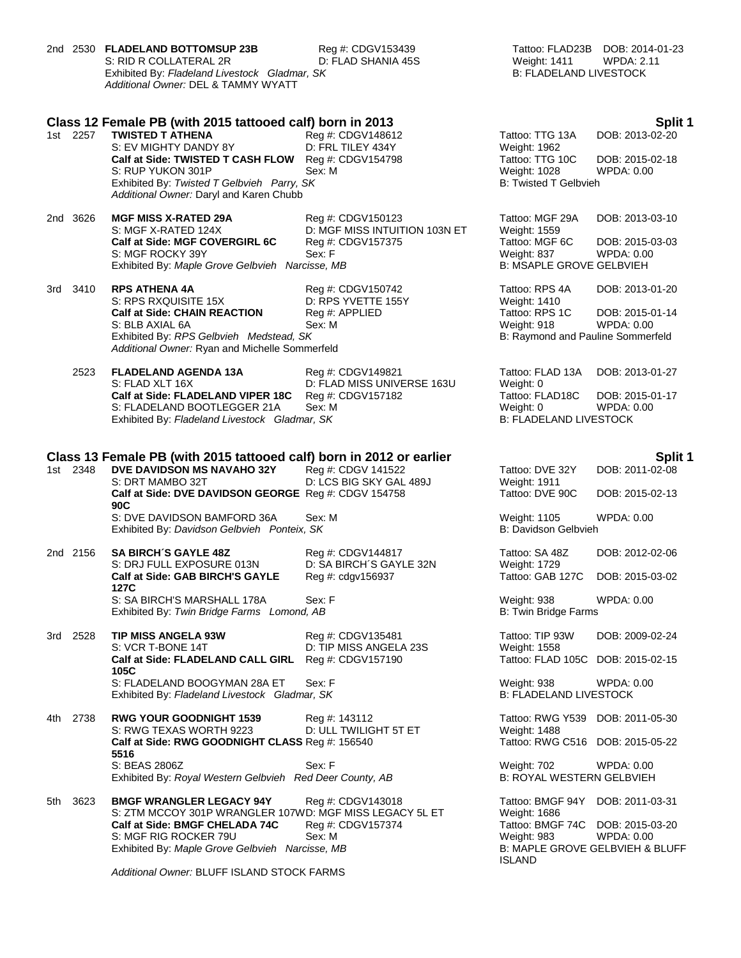|       |          | 2nd 2530 FLADELAND BOTTOMSUP 23B<br>S: RID R COLLATERAL 2R<br>Exhibited By: Fladeland Livestock Gladmar, SK<br>Additional Owner: DEL & TAMMY WYATT | Reg #: CDGV153439<br>D: FLAD SHANIA 45S            | Weight: 1411<br><b>B: FLADELAND LIVESTOCK</b> | Tattoo: FLAD23B DOB: 2014-01-23<br><b>WPDA: 2.11</b>     |
|-------|----------|----------------------------------------------------------------------------------------------------------------------------------------------------|----------------------------------------------------|-----------------------------------------------|----------------------------------------------------------|
|       |          | Class 12 Female PB (with 2015 tattooed calf) born in 2013                                                                                          |                                                    |                                               | Split 1                                                  |
|       | 1st 2257 | <b>TWISTED T ATHENA</b>                                                                                                                            | Reg #: CDGV148612                                  | Tattoo: TTG 13A                               | DOB: 2013-02-20                                          |
|       |          | S: EV MIGHTY DANDY 8Y<br>Calf at Side: TWISTED T CASH FLOW                                                                                         | D: FRL TILEY 434Y<br>Reg #: CDGV154798             | Weight: 1962<br>Tattoo: TTG 10C               | DOB: 2015-02-18                                          |
|       |          | S: RUP YUKON 301P                                                                                                                                  | Sex: M                                             | Weight: 1028                                  | WPDA: 0.00                                               |
|       |          | Exhibited By: Twisted T Gelbvieh Parry, SK<br>Additional Owner: Daryl and Karen Chubb                                                              |                                                    | <b>B: Twisted T Gelbvieh</b>                  |                                                          |
|       | 2nd 3626 | <b>MGF MISS X-RATED 29A</b>                                                                                                                        |                                                    | Tattoo: MGF 29A                               | DOB: 2013-03-10                                          |
|       |          | S: MGF X-RATED 124X                                                                                                                                | Reg #: CDGV150123<br>D: MGF MISS INTUITION 103N ET | Weight: 1559                                  |                                                          |
|       |          | Calf at Side: MGF COVERGIRL 6C                                                                                                                     | Reg #: CDGV157375                                  | Tattoo: MGF 6C                                | DOB: 2015-03-03                                          |
|       |          | S: MGF ROCKY 39Y                                                                                                                                   | Sex: F                                             | Weight: 837                                   | WPDA: 0.00                                               |
|       |          | Exhibited By: Maple Grove Gelbvieh Narcisse, MB                                                                                                    |                                                    | <b>B: MSAPLE GROVE GELBVIEH</b>               |                                                          |
| 3rd - | 3410     | <b>RPS ATHENA 4A</b>                                                                                                                               | Reg #: CDGV150742                                  | Tattoo: RPS 4A                                | DOB: 2013-01-20                                          |
|       |          | S: RPS RXQUISITE 15X<br><b>Calf at Side: CHAIN REACTION</b>                                                                                        | D: RPS YVETTE 155Y<br>Reg #: APPLIED               | Weight: 1410<br>Tattoo: RPS 1C                | DOB: 2015-01-14                                          |
|       |          | S: BLB AXIAL 6A                                                                                                                                    | Sex: M                                             | Weight: 918                                   | WPDA: 0.00                                               |
|       |          | Exhibited By: RPS Gelbvieh Medstead, SK                                                                                                            |                                                    | B: Raymond and Pauline Sommerfeld             |                                                          |
|       |          | Additional Owner: Ryan and Michelle Sommerfeld                                                                                                     |                                                    |                                               |                                                          |
|       | 2523     | <b>FLADELAND AGENDA 13A</b>                                                                                                                        | Reg #: CDGV149821                                  | Tattoo: FLAD 13A                              | DOB: 2013-01-27                                          |
|       |          | S: FLAD XLT 16X                                                                                                                                    | D: FLAD MISS UNIVERSE 163U                         | Weight: 0                                     |                                                          |
|       |          | Calf at Side: FLADELAND VIPER 18C                                                                                                                  | Reg #: CDGV157182<br>Sex: M                        | Tattoo: FLAD18C                               | DOB: 2015-01-17                                          |
|       |          | S: FLADELAND BOOTLEGGER 21A<br>Exhibited By: Fladeland Livestock Gladmar, SK                                                                       |                                                    | Weight: 0<br><b>B: FLADELAND LIVESTOCK</b>    | WPDA: 0.00                                               |
|       |          |                                                                                                                                                    |                                                    |                                               |                                                          |
|       | 1st 2348 | Class 13 Female PB (with 2015 tattooed calf) born in 2012 or earlier<br>DVE DAVIDSON MS NAVAHO 32Y                                                 | Reg #: CDGV 141522                                 | Tattoo: DVE 32Y                               | Split 1<br>DOB: 2011-02-08                               |
|       |          | S: DRT MAMBO 32T                                                                                                                                   | D: LCS BIG SKY GAL 489J                            | <b>Weight: 1911</b>                           |                                                          |
|       |          | Calf at Side: DVE DAVIDSON GEORGE Reg #: CDGV 154758<br>90C                                                                                        |                                                    | Tattoo: DVE 90C                               | DOB: 2015-02-13                                          |
|       |          | S: DVE DAVIDSON BAMFORD 36A                                                                                                                        | Sex: M                                             | Weight: 1105                                  | WPDA: 0.00                                               |
|       |          | Exhibited By: Davidson Gelbvieh Ponteix, SK                                                                                                        |                                                    | B: Davidson Gelbvieh                          |                                                          |
|       | 2nd 2156 | <b>SA BIRCH'S GAYLE 48Z</b>                                                                                                                        | Reg #: CDGV144817                                  | Tattoo: SA 48Z                                | DOB: 2012-02-06                                          |
|       |          | S: DRJ FULL EXPOSURE 013N                                                                                                                          | D: SA BIRCH'S GAYLE 32N                            | Weight: 1729                                  |                                                          |
|       |          | Calf at Side: GAB BIRCH'S GAYLE<br>127C                                                                                                            | Reg #: cdgv156937                                  | Tattoo: GAB 127C                              | DOB: 2015-03-02                                          |
|       |          | S: SA BIRCH'S MARSHALL 178A                                                                                                                        | Sex: F                                             | Weight: 938                                   | WPDA: 0.00                                               |
|       |          | Exhibited By: Twin Bridge Farms Lomond, AB                                                                                                         |                                                    | <b>B: Twin Bridge Farms</b>                   |                                                          |
| 3rd   | 2528     | TIP MISS ANGELA 93W                                                                                                                                | Reg #: CDGV135481                                  | Tattoo: TIP 93W                               | DOB: 2009-02-24                                          |
|       |          | S: VCR T-BONE 14T                                                                                                                                  | D: TIP MISS ANGELA 23S                             | Weight: 1558                                  |                                                          |
|       |          | Calf at Side: FLADELAND CALL GIRL<br>105C                                                                                                          | Reg #: CDGV157190                                  | Tattoo: FLAD 105C                             | DOB: 2015-02-15                                          |
|       |          | S: FLADELAND BOOGYMAN 28A ET                                                                                                                       | Sex: F                                             | Weight: 938                                   | WPDA: 0.00                                               |
|       |          | Exhibited By: Fladeland Livestock Gladmar, SK                                                                                                      |                                                    | <b>B: FLADELAND LIVESTOCK</b>                 |                                                          |
| 4th.  | 2738     | <b>RWG YOUR GOODNIGHT 1539</b>                                                                                                                     | Reg #: 143112                                      | Tattoo: RWG Y539                              | DOB: 2011-05-30                                          |
|       |          | S: RWG TEXAS WORTH 9223                                                                                                                            | D: ULL TWILIGHT 5T ET                              | Weight: 1488                                  |                                                          |
|       |          | Calf at Side: RWG GOODNIGHT CLASS Reg #: 156540<br>5516                                                                                            |                                                    | Tattoo: RWG C516 DOB: 2015-05-22              |                                                          |
|       |          | S: BEAS 2806Z                                                                                                                                      | Sex: F                                             | Weight: 702                                   | WPDA: 0.00                                               |
|       |          | Exhibited By: Royal Western Gelbvieh Red Deer County, AB                                                                                           |                                                    | B: ROYAL WESTERN GELBVIEH                     |                                                          |
| 5th   | 3623     | <b>BMGF WRANGLER LEGACY 94Y</b>                                                                                                                    | Reg #: CDGV143018                                  | Tattoo: BMGF 94Y                              | DOB: 2011-03-31                                          |
|       |          | S: ZTM MCCOY 301P WRANGLER 107WD: MGF MISS LEGACY 5L ET                                                                                            |                                                    | Weight: 1686                                  |                                                          |
|       |          | Calf at Side: BMGF CHELADA 74C                                                                                                                     | Reg #: CDGV157374                                  | Tattoo: BMGF 74C                              | DOB: 2015-03-20                                          |
|       |          | S: MGF RIG ROCKER 79U<br>Exhibited By: Maple Grove Gelbvieh Narcisse, MB                                                                           | Sex: M                                             | Weight: 983                                   | WPDA: 0.00<br><b>B: MAPLE GROVE GELBVIEH &amp; BLUFF</b> |
|       |          |                                                                                                                                                    |                                                    | ISLAND                                        |                                                          |
|       |          |                                                                                                                                                    |                                                    |                                               |                                                          |

*Additional Owner:* BLUFF ISLAND STOCK FARMS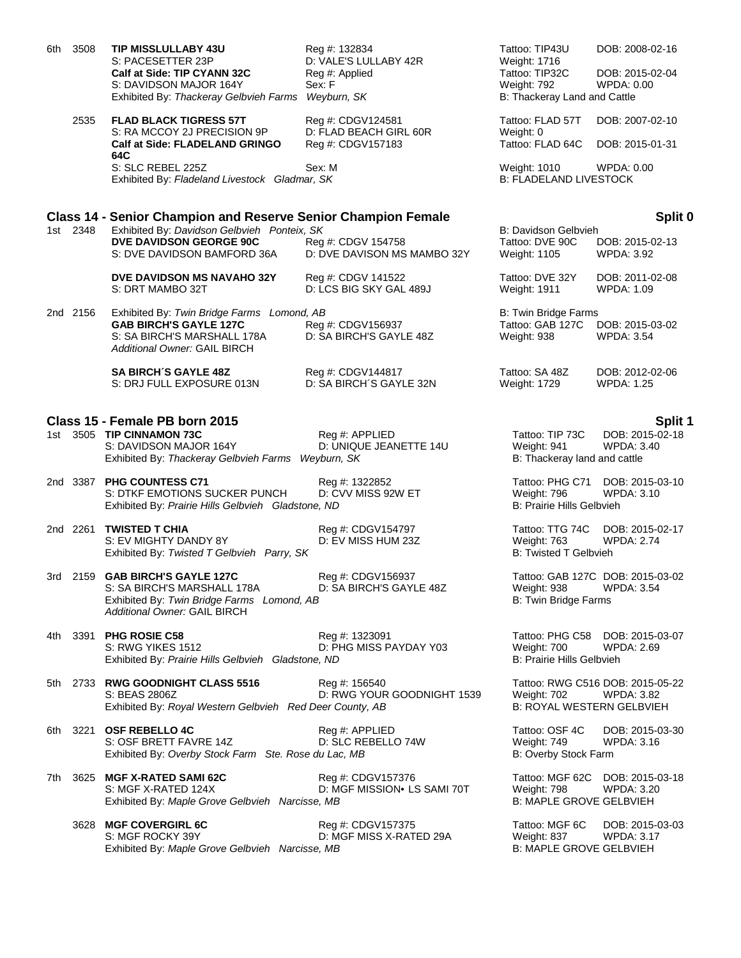| 6th. | 3508     | <b>TIP MISSLULLABY 43U</b><br>S: PACESETTER 23P<br>Calf at Side: TIP CYANN 32C<br>S: DAVIDSON MAJOR 164Y<br>Exhibited By: Thackeray Gelbvieh Farms | Reg #: 132834<br>D: VALE'S LULLABY 42R<br>Reg #: Applied<br>Sex: F<br>Weyburn, SK | Tattoo: TIP43U<br>Weight: 1716<br>Tattoo: TIP32C<br><b>Weight: 792</b><br>B: Thackeray Land and Cattle | DOB: 2008-02-16<br>DOB: 2015-02-04<br>WPDA: 0.00      |
|------|----------|----------------------------------------------------------------------------------------------------------------------------------------------------|-----------------------------------------------------------------------------------|--------------------------------------------------------------------------------------------------------|-------------------------------------------------------|
|      | 2535     | <b>FLAD BLACK TIGRESS 57T</b><br>S: RA MCCOY 2J PRECISION 9P<br>Calf at Side: FLADELAND GRINGO                                                     | Reg #: CDGV124581<br>D: FLAD BEACH GIRL 60R<br>Reg #: CDGV157183                  | Tattoo: FLAD 57T<br>Weight: 0<br>Tattoo: FLAD 64C                                                      | DOB: 2007-02-10<br>DOB: 2015-01-31                    |
|      |          | 64C<br>S: SLC REBEL 225Z<br>Exhibited By: Fladeland Livestock Gladmar, SK                                                                          | Sex: M                                                                            | Weight: 1010<br><b>B: FLADELAND LIVESTOCK</b>                                                          | <b>WPDA: 0.00</b>                                     |
|      |          | <b>Class 14 - Senior Champion and Reserve Senior Champion Female</b>                                                                               |                                                                                   |                                                                                                        | Split 0                                               |
|      | 1st 2348 | Exhibited By: Davidson Gelbvieh Ponteix, SK<br><b>DVE DAVIDSON GEORGE 90C</b><br>S: DVE DAVIDSON BAMFORD 36A                                       | Reg #: CDGV 154758<br>D: DVE DAVISON MS MAMBO 32Y                                 | <b>B: Davidson Gelbvieh</b><br>Tattoo: DVE 90C<br>Weight: 1105                                         | DOB: 2015-02-13<br>WPDA: 3.92                         |
|      |          | <b>DVE DAVIDSON MS NAVAHO 32Y</b><br>S: DRT MAMBO 32T                                                                                              | Reg #: CDGV 141522<br>D: LCS BIG SKY GAL 489J                                     | Tattoo: DVE 32Y<br><b>Weight: 1911</b>                                                                 | DOB: 2011-02-08<br><b>WPDA: 1.09</b>                  |
|      | 2nd 2156 | Exhibited By: Twin Bridge Farms Lomond, AB<br><b>GAB BIRCH'S GAYLE 127C</b><br>S: SA BIRCH'S MARSHALL 178A<br>Additional Owner: GAIL BIRCH         | Reg #: CDGV156937<br>D: SA BIRCH'S GAYLE 48Z                                      | <b>B: Twin Bridge Farms</b><br>Tattoo: GAB 127C<br>Weight: 938                                         | DOB: 2015-03-02<br><b>WPDA: 3.54</b>                  |
|      |          | <b>SA BIRCH'S GAYLE 48Z</b><br>S: DRJ FULL EXPOSURE 013N                                                                                           | Reg #: CDGV144817<br>D: SA BIRCH'S GAYLE 32N                                      | Tattoo: SA 48Z<br>Weight: 1729                                                                         | DOB: 2012-02-06<br><b>WPDA: 1.25</b>                  |
|      |          | Class 15 - Female PB born 2015                                                                                                                     |                                                                                   |                                                                                                        | Split 1                                               |
|      |          | 1st 3505 TIP CINNAMON 73C<br>S: DAVIDSON MAJOR 164Y<br>Exhibited By: Thackeray Gelbvieh Farms Weyburn, SK                                          | Reg #: APPLIED<br>D: UNIQUE JEANETTE 14U                                          | Tattoo: TIP 73C<br>Weight: 941<br>B: Thackeray land and cattle                                         | DOB: 2015-02-18<br><b>WPDA: 3.40</b>                  |
|      |          | 2nd 3387 PHG COUNTESS C71<br>S: DTKF EMOTIONS SUCKER PUNCH<br>Exhibited By: Prairie Hills Gelbvieh Gladstone, ND                                   | Reg #: 1322852<br>D: CVV MISS 92W ET                                              | Tattoo: PHG C71<br>Weight: 796<br>B: Prairie Hills Gelbvieh                                            | DOB: 2015-03-10<br><b>WPDA: 3.10</b>                  |
|      | 2nd 2261 | <b>TWISTED T CHIA</b><br>S: EV MIGHTY DANDY 8Y<br>Exhibited By: Twisted T Gelbvieh Parry, SK                                                       | Reg #: CDGV154797<br>D: EV MISS HUM 23Z                                           | Tattoo: TTG 74C<br>Weight: 763<br>B: Twisted T Gelbvieh                                                | DOB: 2015-02-17<br><b>WPDA: 2.74</b>                  |
|      |          | 3rd 2159 GAB BIRCH'S GAYLE 127C<br>S: SA BIRCH'S MARSHALL 178A<br>Exhibited By: Twin Bridge Farms Lomond, AB<br>Additional Owner: GAIL BIRCH       | Reg #: CDGV156937<br>D: SA BIRCH'S GAYLE 48Z                                      | Weight: 938<br>B: Twin Bridge Farms                                                                    | Tattoo: GAB 127C DOB: 2015-03-02<br><b>WPDA: 3.54</b> |
| 4th  | 3391     | PHG ROSIE C58<br>S: RWG YIKES 1512<br>Exhibited By: Prairie Hills Gelbvieh Gladstone, ND                                                           | Reg #: 1323091<br>D: PHG MISS PAYDAY Y03                                          | Weight: 700<br>B: Prairie Hills Gelbvieh                                                               | Tattoo: PHG C58 DOB: 2015-03-07<br><b>WPDA: 2.69</b>  |
|      |          | 5th 2733 RWG GOODNIGHT CLASS 5516<br>S: BEAS 2806Z<br>Exhibited By: Royal Western Gelbvieh Red Deer County, AB                                     | Reg #: 156540<br>D: RWG YOUR GOODNIGHT 1539                                       | Weight: 702<br><b>B: ROYAL WESTERN GELBVIEH</b>                                                        | Tattoo: RWG C516 DOB: 2015-05-22<br>WPDA: 3.82        |
| 6th  |          | 3221 OSF REBELLO 4C<br>S: OSF BRETT FAVRE 14Z<br>Exhibited By: Overby Stock Farm Ste. Rose du Lac, MB                                              | Reg #: APPLIED<br>D: SLC REBELLO 74W                                              | Tattoo: OSF 4C<br>Weight: 749<br>B: Overby Stock Farm                                                  | DOB: 2015-03-30<br><b>WPDA: 3.16</b>                  |
| 7th  |          | 3625 MGF X-RATED SAMI 62C<br>S: MGF X-RATED 124X<br>Exhibited By: Maple Grove Gelbvieh Narcisse, MB                                                | Reg #: CDGV157376<br>D: MGF MISSION. LS SAMI 70T                                  | Weight: 798<br><b>B: MAPLE GROVE GELBVIEH</b>                                                          | Tattoo: MGF 62C DOB: 2015-03-18<br>WPDA: 3.20         |
|      |          | 3628 MGF COVERGIRL 6C<br>S: MGF ROCKY 39Y<br>Exhibited By: Maple Grove Gelbvieh Narcisse, MB                                                       | Reg #: CDGV157375<br>D: MGF MISS X-RATED 29A                                      | Tattoo: MGF 6C<br>Weight: 837<br><b>B: MAPLE GROVE GELBVIEH</b>                                        | DOB: 2015-03-03<br><b>WPDA: 3.17</b>                  |
|      |          |                                                                                                                                                    |                                                                                   |                                                                                                        |                                                       |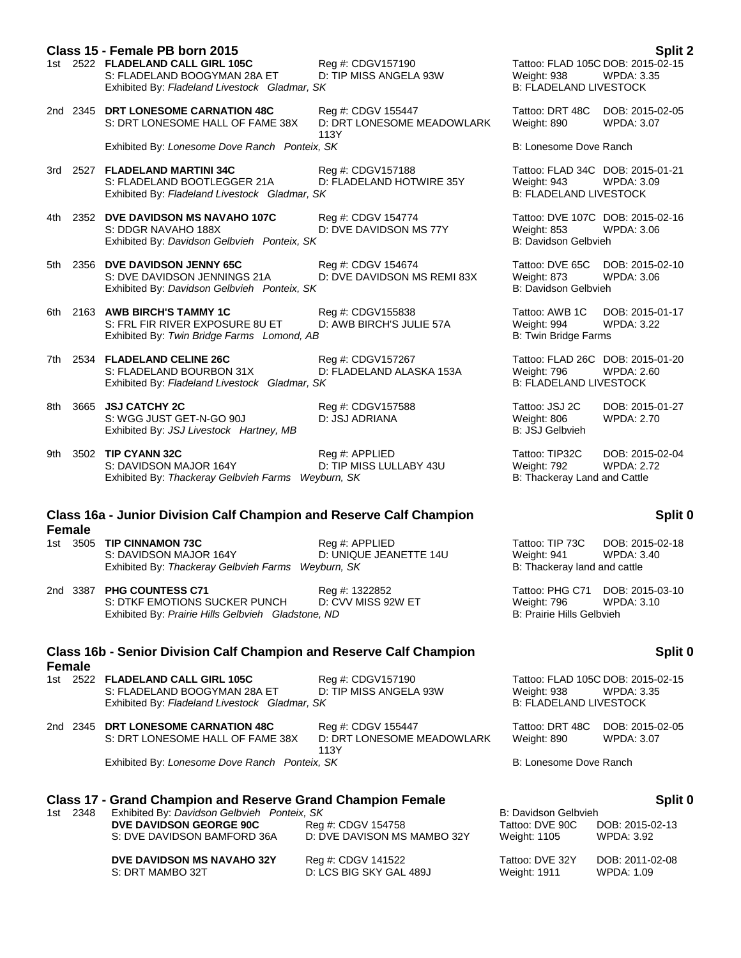|       |               | Class 15 - Female PB born 2015<br>1st 2522 FLADELAND CALL GIRL 105C<br>S: FLADELAND BOOGYMAN 28A ET<br>Exhibited By: Fladeland Livestock Gladmar, SK                               | Reg #: CDGV157190<br>D: TIP MISS ANGELA 93W              | Weight: 938<br><b>B: FLADELAND LIVESTOCK</b>                   | Split 2<br>Tattoo: FLAD 105C DOB: 2015-02-15<br><b>WPDA: 3.35</b> |
|-------|---------------|------------------------------------------------------------------------------------------------------------------------------------------------------------------------------------|----------------------------------------------------------|----------------------------------------------------------------|-------------------------------------------------------------------|
|       |               | 2nd 2345 DRT LONESOME CARNATION 48C<br>S: DRT LONESOME HALL OF FAME 38X                                                                                                            | Reg #: CDGV 155447<br>D: DRT LONESOME MEADOWLARK<br>113Y | Tattoo: DRT 48C<br>Weight: 890                                 | DOB: 2015-02-05<br>WPDA: 3.07                                     |
|       |               | Exhibited By: Lonesome Dove Ranch Ponteix, SK                                                                                                                                      |                                                          | B: Lonesome Dove Ranch                                         |                                                                   |
|       |               | 3rd 2527 FLADELAND MARTINI 34C<br>S: FLADELAND BOOTLEGGER 21A<br>Exhibited By: Fladeland Livestock Gladmar, SK                                                                     | Reg #: CDGV157188<br>D: FLADELAND HOTWIRE 35Y            | Weight: 943<br><b>B: FLADELAND LIVESTOCK</b>                   | Tattoo: FLAD 34C DOB: 2015-01-21<br>WPDA: 3.09                    |
| 4th l |               | 2352 DVE DAVIDSON MS NAVAHO 107C<br>S: DDGR NAVAHO 188X<br>Exhibited By: Davidson Gelbvieh Ponteix, SK                                                                             | Reg #: CDGV 154774<br>D: DVE DAVIDSON MS 77Y             | Weight: 853<br>B: Davidson Gelbvieh                            | Tattoo: DVE 107C DOB: 2015-02-16<br>WPDA: 3.06                    |
|       |               | 5th 2356 DVE DAVIDSON JENNY 65C<br>S: DVE DAVIDSON JENNINGS 21A<br>Exhibited By: Davidson Gelbvieh Ponteix, SK                                                                     | Reg #: CDGV 154674<br>D: DVE DAVIDSON MS REMI 83X        | Tattoo: DVE 65C<br>Weight: 873<br>B: Davidson Gelbvieh         | DOB: 2015-02-10<br>WPDA: 3.06                                     |
| 6th   |               | 2163 AWB BIRCH'S TAMMY 1C<br>S: FRL FIR RIVER EXPOSURE 8U ET<br>Exhibited By: Twin Bridge Farms Lomond, AB                                                                         | Reg #: CDGV155838<br>D: AWB BIRCH'S JULIE 57A            | Tattoo: AWB 1C<br>Weight: 994<br><b>B: Twin Bridge Farms</b>   | DOB: 2015-01-17<br>WPDA: 3.22                                     |
|       |               | 7th 2534 FLADELAND CELINE 26C<br>S: FLADELAND BOURBON 31X<br>Exhibited By: Fladeland Livestock Gladmar, SK                                                                         | Reg #: CDGV157267<br>D: FLADELAND ALASKA 153A            | Weight: 796<br><b>B: FLADELAND LIVESTOCK</b>                   | Tattoo: FLAD 26C DOB: 2015-01-20<br><b>WPDA: 2.60</b>             |
| 8th   |               | 3665 JSJ CATCHY 2C<br>S: WGG JUST GET-N-GO 90J<br>Exhibited By: JSJ Livestock Hartney, MB                                                                                          | Reg #: CDGV157588<br>D: JSJ ADRIANA                      | Tattoo: JSJ 2C<br>Weight: 806<br>B: JSJ Gelbvieh               | DOB: 2015-01-27<br>WPDA: 2.70                                     |
| 9th   |               | 3502 TIP CYANN 32C<br>S: DAVIDSON MAJOR 164Y<br>Exhibited By: Thackeray Gelbvieh Farms Weyburn, SK                                                                                 | Reg #: APPLIED<br>D: TIP MISS LULLABY 43U                | Tattoo: TIP32C<br>Weight: 792<br>B: Thackeray Land and Cattle  | DOB: 2015-02-04<br><b>WPDA: 2.72</b>                              |
|       |               | Class 16a - Junior Division Calf Champion and Reserve Calf Champion                                                                                                                |                                                          |                                                                | Split 0                                                           |
|       | <b>Female</b> |                                                                                                                                                                                    |                                                          |                                                                |                                                                   |
|       |               | 1st 3505 TIP CINNAMON 73C<br>S: DAVIDSON MAJOR 164Y<br>Exhibited By: Thackeray Gelbvieh Farms Weyburn, SK                                                                          | Reg #: APPLIED<br>D: UNIQUE JEANETTE 14U                 | Tattoo: TIP 73C<br>Weight: 941<br>B: Thackeray land and cattle | DOB: 2015-02-18<br><b>WPDA: 3.40</b>                              |
|       |               | 2nd 3387 PHG COUNTESS C71<br>S: DTKF EMOTIONS SUCKER PUNCH<br>Exhibited By: Prairie Hills Gelbvieh Gladstone, ND                                                                   | Reg #: 1322852<br>D: CVV MISS 92W ET                     | Weight: 796<br>B: Prairie Hills Gelbvieh                       | Tattoo: PHG C71 DOB: 2015-03-10<br>WPDA: 3.10                     |
|       |               | <b>Class 16b - Senior Division Calf Champion and Reserve Calf Champion</b>                                                                                                         |                                                          |                                                                | Split 0                                                           |
|       | <b>Female</b> | 1st 2522 FLADELAND CALL GIRL 105C<br>S: FLADELAND BOOGYMAN 28A ET<br>Exhibited By: Fladeland Livestock Gladmar, SK                                                                 | Reg #: CDGV157190<br>D: TIP MISS ANGELA 93W              | Weight: 938<br><b>B: FLADELAND LIVESTOCK</b>                   | Tattoo: FLAD 105C DOB: 2015-02-15<br>WPDA: 3.35                   |
|       |               | 2nd 2345 DRT LONESOME CARNATION 48C<br>S: DRT LONESOME HALL OF FAME 38X                                                                                                            | Reg #: CDGV 155447<br>D: DRT LONESOME MEADOWLARK         | Tattoo: DRT 48C<br>Weight: 890                                 | DOB: 2015-02-05<br>WPDA: 3.07                                     |
|       |               | Exhibited By: Lonesome Dove Ranch Ponteix, SK                                                                                                                                      | 113Y                                                     | B: Lonesome Dove Ranch                                         |                                                                   |
|       |               |                                                                                                                                                                                    |                                                          |                                                                |                                                                   |
|       | 1st 2348      | <b>Class 17 - Grand Champion and Reserve Grand Champion Female</b><br>Exhibited By: Davidson Gelbvieh Ponteix, SK<br><b>DVE DAVIDSON GEORGE 90C</b><br>S: DVE DAVIDSON BAMFORD 36A | Reg #: CDGV 154758<br>D: DVE DAVISON MS MAMBO 32Y        | B: Davidson Gelbvieh<br>Tattoo: DVE 90C<br>Weight: 1105        | Split 0<br>DOB: 2015-02-13<br>WPDA: 3.92                          |
|       |               | DVE DAVIDSON MS NAVAHO 32Y<br>S: DRT MAMBO 32T                                                                                                                                     | Reg #: CDGV 141522<br>D: LCS BIG SKY GAL 489J            | Tattoo: DVE 32Y<br>Weight: 1911                                | DOB: 2011-02-08<br><b>WPDA: 1.09</b>                              |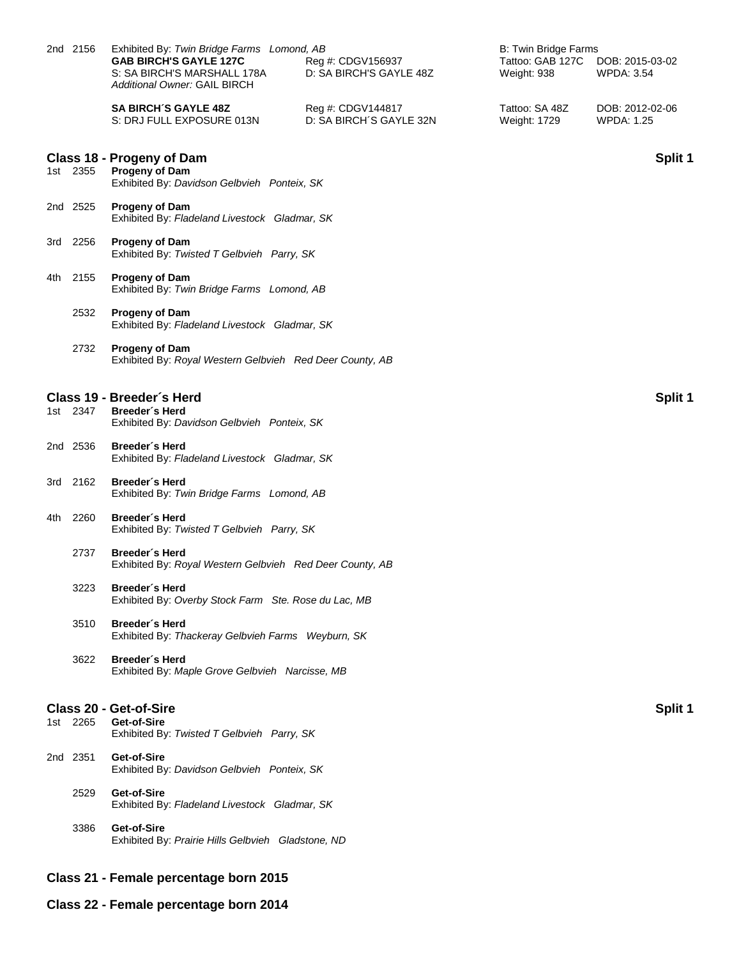|     | 2nd 2156 | Exhibited By: Twin Bridge Farms Lomond, AB<br><b>GAB BIRCH'S GAYLE 127C</b><br>Reg #: CDGV156937<br>D: SA BIRCH'S GAYLE 48Z<br>S: SA BIRCH'S MARSHALL 178A<br>Additional Owner: GAIL BIRCH | B: Twin Bridge Farms<br>Tattoo: GAB 127C<br>Weight: 938 | DOB: 2015-03-02<br><b>WPDA: 3.54</b> |
|-----|----------|--------------------------------------------------------------------------------------------------------------------------------------------------------------------------------------------|---------------------------------------------------------|--------------------------------------|
|     |          | <b>SA BIRCH'S GAYLE 48Z</b><br>Reg #: CDGV144817<br>D: SA BIRCH'S GAYLE 32N<br>S: DRJ FULL EXPOSURE 013N                                                                                   | Tattoo: SA 48Z<br>Weight: 1729                          | DOB: 2012-02-06<br><b>WPDA: 1.25</b> |
|     | 1st 2355 | Class 18 - Progeny of Dam<br>Progeny of Dam<br>Exhibited By: Davidson Gelbvieh Ponteix, SK                                                                                                 |                                                         | Split 1                              |
|     | 2nd 2525 | <b>Progeny of Dam</b><br>Exhibited By: Fladeland Livestock Gladmar, SK                                                                                                                     |                                                         |                                      |
|     | 3rd 2256 | <b>Progeny of Dam</b><br>Exhibited By: Twisted T Gelbvieh Parry, SK                                                                                                                        |                                                         |                                      |
| 4th | 2155     | <b>Progeny of Dam</b><br>Exhibited By: Twin Bridge Farms Lomond, AB                                                                                                                        |                                                         |                                      |
|     | 2532     | <b>Progeny of Dam</b><br>Exhibited By: Fladeland Livestock Gladmar, SK                                                                                                                     |                                                         |                                      |
|     | 2732     | Progeny of Dam<br>Exhibited By: Royal Western Gelbvieh Red Deer County, AB                                                                                                                 |                                                         |                                      |
|     | 1st 2347 | Class 19 - Breeder's Herd<br>Breeder's Herd<br>Exhibited By: Davidson Gelbvieh Ponteix, SK                                                                                                 |                                                         | Split 1                              |
|     | 2nd 2536 | Breeder's Herd<br>Exhibited By: Fladeland Livestock Gladmar, SK                                                                                                                            |                                                         |                                      |
|     | 3rd 2162 | Breeder's Herd<br>Exhibited By: Twin Bridge Farms Lomond, AB                                                                                                                               |                                                         |                                      |
| 4th | 2260     | Breeder's Herd<br>Exhibited By: Twisted T Gelbvieh Parry, SK                                                                                                                               |                                                         |                                      |
|     | 2737     | Breeder's Herd<br>Exhibited By: Royal Western Gelbvieh Red Deer County, AB                                                                                                                 |                                                         |                                      |
|     | 3223     | Breeder's Herd<br>Exhibited By: Overby Stock Farm Ste. Rose du Lac, MB                                                                                                                     |                                                         |                                      |
|     | 3510     | Breeder's Herd<br>Exhibited By: Thackeray Gelbvieh Farms Weyburn, SK                                                                                                                       |                                                         |                                      |
|     | 3622     | Breeder's Herd<br>Exhibited By: Maple Grove Gelbvieh Narcisse, MB                                                                                                                          |                                                         |                                      |
|     | 1st 2265 | <b>Class 20 - Get-of-Sire</b><br>Get-of-Sire<br>Exhibited By: Twisted T Gelbvieh Parry, SK                                                                                                 |                                                         | Split 1                              |
|     | 2nd 2351 | Get-of-Sire<br>Exhibited By: Davidson Gelbvieh Ponteix, SK                                                                                                                                 |                                                         |                                      |
|     | 2529     | Get-of-Sire<br>Exhibited By: Fladeland Livestock Gladmar, SK                                                                                                                               |                                                         |                                      |
|     | 3386     | Get-of-Sire<br>Exhibited By: Prairie Hills Gelbvieh Gladstone, ND                                                                                                                          |                                                         |                                      |
|     |          | Class 21 - Female percentage born 2015                                                                                                                                                     |                                                         |                                      |

**Class 22 - Female percentage born 2014**